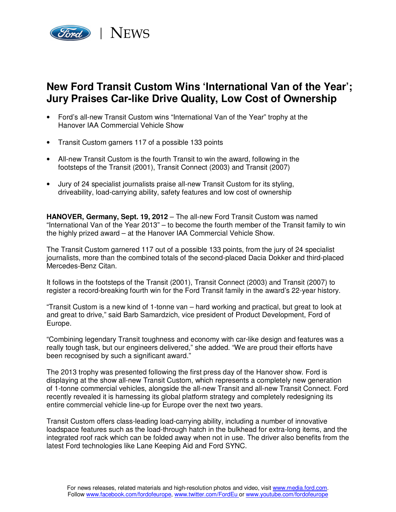

## **New Ford Transit Custom Wins 'International Van of the Year'; Jury Praises Car-like Drive Quality, Low Cost of Ownership**

- Ford's all-new Transit Custom wins "International Van of the Year" trophy at the Hanover IAA Commercial Vehicle Show
- Transit Custom garners 117 of a possible 133 points
- All-new Transit Custom is the fourth Transit to win the award, following in the footsteps of the Transit (2001), Transit Connect (2003) and Transit (2007)
- Jury of 24 specialist journalists praise all-new Transit Custom for its styling, driveability, load-carrying ability, safety features and low cost of ownership

**HANOVER, Germany, Sept. 19, 2012** – The all-new Ford Transit Custom was named "International Van of the Year 2013" – to become the fourth member of the Transit family to win the highly prized award – at the Hanover IAA Commercial Vehicle Show.

The Transit Custom garnered 117 out of a possible 133 points, from the jury of 24 specialist journalists, more than the combined totals of the second-placed Dacia Dokker and third-placed Mercedes-Benz Citan.

It follows in the footsteps of the Transit (2001), Transit Connect (2003) and Transit (2007) to register a record-breaking fourth win for the Ford Transit family in the award's 22-year history.

"Transit Custom is a new kind of 1-tonne van – hard working and practical, but great to look at and great to drive," said Barb Samardzich, vice president of Product Development, Ford of Europe.

"Combining legendary Transit toughness and economy with car-like design and features was a really tough task, but our engineers delivered," she added. "We are proud their efforts have been recognised by such a significant award."

The 2013 trophy was presented following the first press day of the Hanover show. Ford is displaying at the show all-new Transit Custom, which represents a completely new generation of 1-tonne commercial vehicles, alongside the all-new Transit and all-new Transit Connect. Ford recently revealed it is harnessing its global platform strategy and completely redesigning its entire commercial vehicle line-up for Europe over the next two years.

Transit Custom offers class-leading load-carrying ability, including a number of innovative loadspace features such as the load-through hatch in the bulkhead for extra-long items, and the integrated roof rack which can be folded away when not in use. The driver also benefits from the latest Ford technologies like Lane Keeping Aid and Ford SYNC.